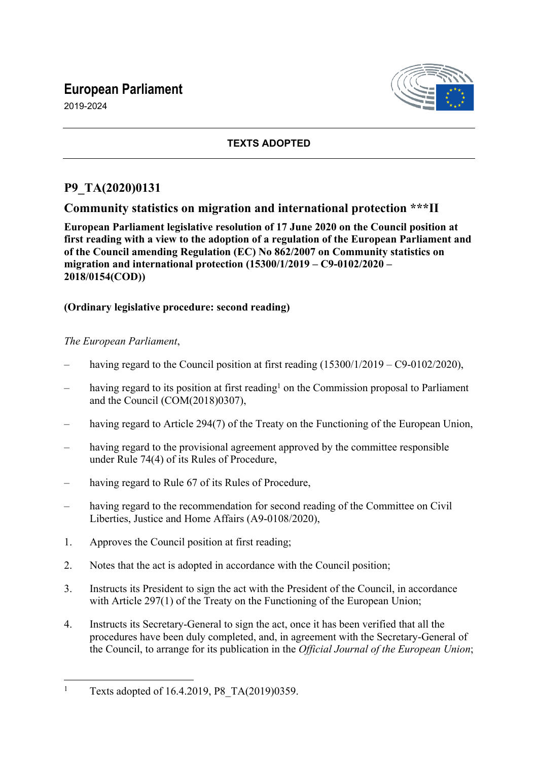# **European Parliament**

2019-2024



## **TEXTS ADOPTED**

## **P9\_TA(2020)0131**

## **Community statistics on migration and international protection \*\*\*II**

**European Parliament legislative resolution of 17 June 2020 on the Council position at first reading with a view to the adoption of a regulation of the European Parliament and of the Council amending Regulation (EC) No 862/2007 on Community statistics on migration and international protection (15300/1/2019 – C9-0102/2020 – 2018/0154(COD))**

#### **(Ordinary legislative procedure: second reading)**

#### *The European Parliament*,

- having regard to the Council position at first reading  $(15300/1/2019 C9-0102/2020)$ ,
- having regard to its position at first reading<sup>1</sup> on the Commission proposal to Parliament and the Council (COM(2018)0307),
- having regard to Article 294(7) of the Treaty on the Functioning of the European Union,
- having regard to the provisional agreement approved by the committee responsible under Rule 74(4) of its Rules of Procedure,
- having regard to Rule 67 of its Rules of Procedure,
- having regard to the recommendation for second reading of the Committee on Civil Liberties, Justice and Home Affairs (A9-0108/2020),
- 1. Approves the Council position at first reading;
- 2. Notes that the act is adopted in accordance with the Council position;
- 3. Instructs its President to sign the act with the President of the Council, in accordance with Article 297(1) of the Treaty on the Functioning of the European Union;
- 4. Instructs its Secretary-General to sign the act, once it has been verified that all the procedures have been duly completed, and, in agreement with the Secretary-General of the Council, to arrange for its publication in the *Official Journal of the European Union*;

<sup>1</sup> Texts adopted of 16.4.2019, P8\_TA(2019)0359.